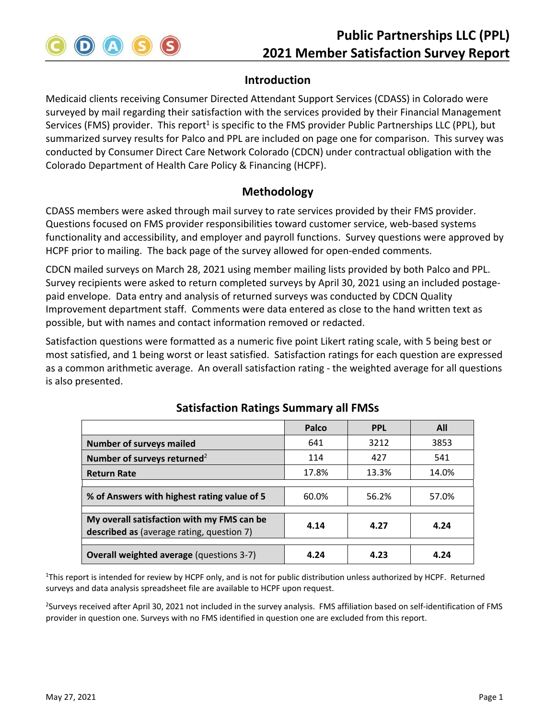

## **Introduction**

Medicaid clients receiving Consumer Directed Attendant Support Services (CDASS) in Colorado were surveyed by mail regarding their satisfaction with the services provided by their Financial Management Services (FMS) provider. This report<sup>1</sup> is specific to the FMS provider Public Partnerships LLC (PPL), but summarized survey results for Palco and PPL are included on page one for comparison. This survey was conducted by Consumer Direct Care Network Colorado (CDCN) under contractual obligation with the Colorado Department of Health Care Policy & Financing (HCPF).

#### **Methodology**

CDASS members were asked through mail survey to rate services provided by their FMS provider. Questions focused on FMS provider responsibilities toward customer service, web-based systems functionality and accessibility, and employer and payroll functions. Survey questions were approved by HCPF prior to mailing. The back page of the survey allowed for open-ended comments.

CDCN mailed surveys on March 28, 2021 using member mailing lists provided by both Palco and PPL. Survey recipients were asked to return completed surveys by April 30, 2021 using an included postage‐ paid envelope. Data entry and analysis of returned surveys was conducted by CDCN Quality Improvement department staff. Comments were data entered as close to the hand written text as possible, but with names and contact information removed or redacted.

Satisfaction questions were formatted as a numeric five point Likert rating scale, with 5 being best or most satisfied, and 1 being worst or least satisfied. Satisfaction ratings for each question are expressed as a common arithmetic average. An overall satisfaction rating ‐ the weighted average for all questions is also presented.

|                                                                                         | Palco | <b>PPL</b> | All   |
|-----------------------------------------------------------------------------------------|-------|------------|-------|
| <b>Number of surveys mailed</b>                                                         | 641   | 3212       | 3853  |
| Number of surveys returned <sup>2</sup>                                                 | 114   | 427        | 541   |
| <b>Return Rate</b>                                                                      | 17.8% | 13.3%      | 14.0% |
|                                                                                         |       |            |       |
| % of Answers with highest rating value of 5                                             | 60.0% | 56.2%      | 57.0% |
|                                                                                         |       |            |       |
| My overall satisfaction with my FMS can be<br>described as (average rating, question 7) | 4.14  | 4.27       | 4.24  |
|                                                                                         |       |            |       |
| <b>Overall weighted average (questions 3-7)</b>                                         | 4.24  | 4.23       | 4.24  |

# **Satisfaction Ratings Summary all FMSs**

<sup>1</sup>This report is intended for review by HCPF only, and is not for public distribution unless authorized by HCPF. Returned surveys and data analysis spreadsheet file are available to HCPF upon request.

<sup>2</sup>Surveys received after April 30, 2021 not included in the survey analysis. FMS affiliation based on self-identification of FMS provider in question one. Surveys with no FMS identified in question one are excluded from this report.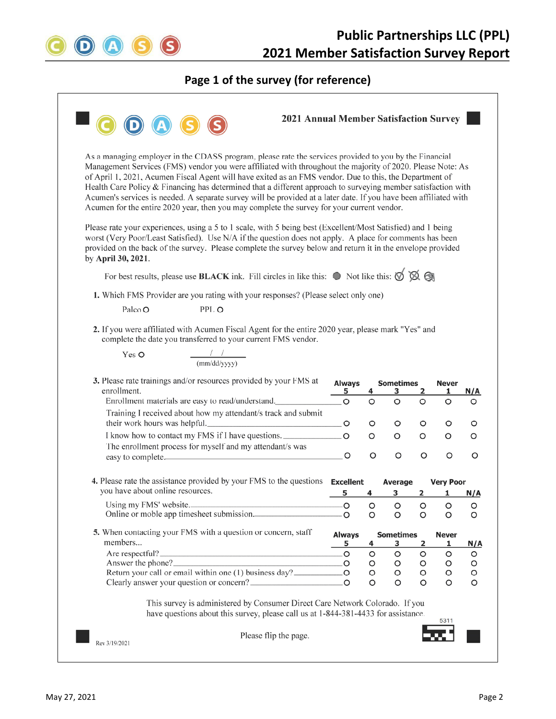

#### **Page 1 of the survey (for reference)**

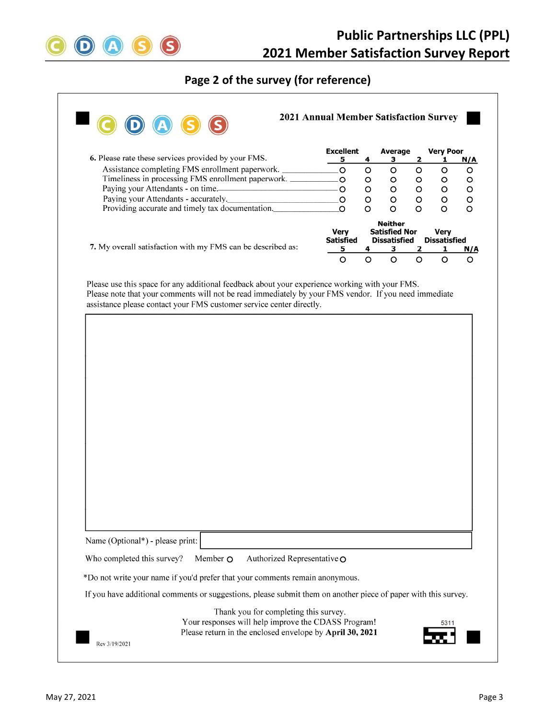

# **Page 2 of the survey (for reference)**

|                                                                                                                                                                                                                                                                                 | <b>Excellent</b>                |         | Average                                                       |              | <b>Very Poor</b>                   |                       |  |
|---------------------------------------------------------------------------------------------------------------------------------------------------------------------------------------------------------------------------------------------------------------------------------|---------------------------------|---------|---------------------------------------------------------------|--------------|------------------------------------|-----------------------|--|
| 6. Please rate these services provided by your FMS.                                                                                                                                                                                                                             | 5                               | 4       | 3                                                             | $\mathbf{2}$ | 1                                  | N/A                   |  |
| Assistance completing FMS enrollment paperwork.                                                                                                                                                                                                                                 | Ō                               | $\circ$ | $\circ$                                                       | $\circ$      | $\circ$                            | $\circ$               |  |
| Timeliness in processing FMS enrollment paperwork. __________                                                                                                                                                                                                                   | $\circ$                         | O       | $\circ$                                                       | $\circ$      | O                                  | $\circ$               |  |
| Paying your Attendants - on time.                                                                                                                                                                                                                                               | $\circ$                         | O       | $\circ$                                                       | O            | O                                  | O                     |  |
| Paying your Attendants - accurately.                                                                                                                                                                                                                                            | O                               | O       | $\circ$                                                       | O            | o                                  | O                     |  |
| Providing accurate and timely tax documentation.                                                                                                                                                                                                                                | $\circ$                         | O       | $\circ$                                                       | $\circ$      | O                                  | O                     |  |
|                                                                                                                                                                                                                                                                                 | <b>Very</b><br><b>Satisfied</b> |         | <b>Neither</b><br><b>Satisfied Nor</b><br><b>Dissatisfied</b> |              | <b>Very</b><br><b>Dissatisfied</b> |                       |  |
|                                                                                                                                                                                                                                                                                 |                                 |         |                                                               |              |                                    |                       |  |
| 7. My overall satisfaction with my FMS can be described as:                                                                                                                                                                                                                     | 5                               | 4       | 3                                                             | 2            | 1                                  |                       |  |
| Please use this space for any additional feedback about your experience working with your FMS.<br>Please note that your comments will not be read immediately by your FMS vendor. If you need immediate<br>assistance please contact your FMS customer service center directly. | $\circ$                         | $\circ$ | $\circ$                                                       | $\circ$      | O                                  |                       |  |
|                                                                                                                                                                                                                                                                                 |                                 |         |                                                               |              |                                    |                       |  |
|                                                                                                                                                                                                                                                                                 |                                 |         |                                                               |              |                                    |                       |  |
|                                                                                                                                                                                                                                                                                 |                                 |         |                                                               |              |                                    |                       |  |
|                                                                                                                                                                                                                                                                                 |                                 |         |                                                               |              |                                    |                       |  |
|                                                                                                                                                                                                                                                                                 |                                 |         |                                                               |              |                                    |                       |  |
|                                                                                                                                                                                                                                                                                 |                                 |         |                                                               |              |                                    |                       |  |
|                                                                                                                                                                                                                                                                                 |                                 |         |                                                               |              |                                    | <u>N/A</u><br>$\circ$ |  |
|                                                                                                                                                                                                                                                                                 |                                 |         |                                                               |              |                                    |                       |  |
|                                                                                                                                                                                                                                                                                 |                                 |         |                                                               |              |                                    |                       |  |
|                                                                                                                                                                                                                                                                                 |                                 |         |                                                               |              |                                    |                       |  |
|                                                                                                                                                                                                                                                                                 |                                 |         |                                                               |              |                                    |                       |  |

Name (Optional\*) - please print:

Rev 3/19/2021

Who completed this survey? Member  $\Omega$  Authorized Representative  $\Omega$ 

\*Do not write your name if you'd prefer that your comments remain anonymous.

If you have additional comments or suggestions, please submit them on another piece of paper with this survey.

Thank you for completing this survey. Your responses will help improve the CDASS Program! Please return in the enclosed envelope by April 30, 2021

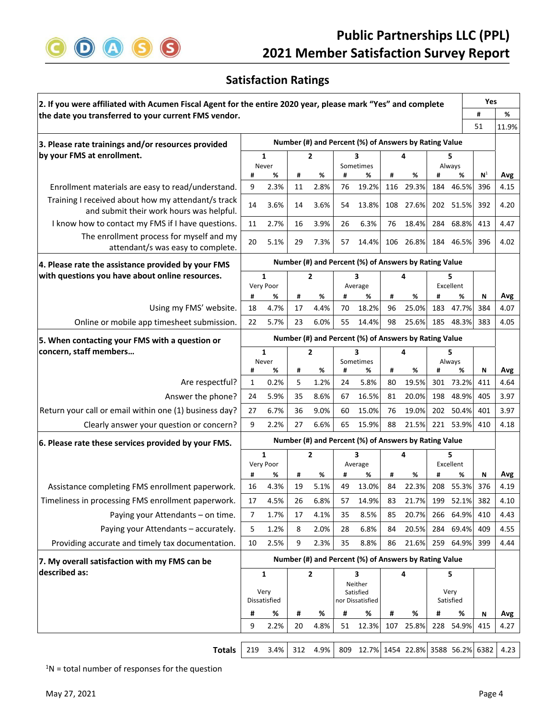

# **Satisfaction Ratings**

| 2. If you were affiliated with Acumen Fiscal Agent for the entire 2020 year, please mark "Yes" and complete |                                                       |                           |         |                               |    |                                                       | Yes |            |     |                |                |             |  |
|-------------------------------------------------------------------------------------------------------------|-------------------------------------------------------|---------------------------|---------|-------------------------------|----|-------------------------------------------------------|-----|------------|-----|----------------|----------------|-------------|--|
| the date you transferred to your current FMS vendor.                                                        |                                                       |                           |         |                               |    |                                                       | #   | %          |     |                |                |             |  |
|                                                                                                             |                                                       |                           |         |                               |    |                                                       |     |            |     |                | 51             | 11.9%       |  |
| 3. Please rate trainings and/or resources provided                                                          | Number (#) and Percent (%) of Answers by Rating Value |                           |         |                               |    |                                                       |     |            |     |                |                |             |  |
| by your FMS at enrollment.                                                                                  |                                                       | 1                         |         | $\overline{2}$                |    | 3                                                     |     | 4          | 5   |                |                |             |  |
|                                                                                                             | #                                                     | Never<br>%                | #       | %                             | #  | Sometimes<br>%                                        | #   | %          | #   | Always<br>%    | N <sup>1</sup> | Avg         |  |
| Enrollment materials are easy to read/understand.                                                           | 9                                                     | 2.3%                      | 11      | 2.8%                          | 76 | 19.2%                                                 | 116 | 29.3%      | 184 | 46.5%          | 396            | 4.15        |  |
| Training I received about how my attendant/s track                                                          | 14                                                    | 3.6%                      | 14      | 3.6%                          | 54 | 13.8%                                                 | 108 | 27.6%      |     | 202 51.5%      | 392            | 4.20        |  |
| and submit their work hours was helpful.                                                                    |                                                       |                           |         |                               |    |                                                       |     |            |     |                |                |             |  |
| I know how to contact my FMS if I have questions.                                                           | 11                                                    | 2.7%                      | 16      | 3.9%                          | 26 | 6.3%                                                  | 76  | 18.4%      |     | 284 68.8%      | 413            | 4.47        |  |
| The enrollment process for myself and my                                                                    | 20                                                    | 5.1%                      | 29      | 7.3%                          | 57 | 14.4%                                                 | 106 | 26.8%      |     | 184 46.5%      | 396            | 4.02        |  |
| attendant/s was easy to complete.                                                                           |                                                       |                           |         |                               |    |                                                       |     |            |     |                |                |             |  |
| 4. Please rate the assistance provided by your FMS                                                          |                                                       |                           |         |                               |    | Number (#) and Percent (%) of Answers by Rating Value |     |            |     |                |                |             |  |
| with questions you have about online resources.                                                             |                                                       | 1<br>Very Poor            |         | 2                             |    | 3<br>Average                                          |     | 4          |     | 5<br>Excellent |                |             |  |
|                                                                                                             | #                                                     | %                         | #       | %                             | #  | %                                                     | #   | %          | #   | %              | N              | Avg         |  |
| Using my FMS' website.                                                                                      | 18                                                    | 4.7%                      | 17      | 4.4%                          | 70 | 18.2%                                                 | 96  | 25.0%      | 183 | 47.7%          | 384            | 4.07        |  |
| Online or mobile app timesheet submission.                                                                  | 22                                                    | 5.7%                      | 23      | 6.0%                          | 55 | 14.4%                                                 | 98  | 25.6%      |     | 185 48.3%      | 383            | 4.05        |  |
| 5. When contacting your FMS with a question or                                                              |                                                       |                           |         |                               |    | Number (#) and Percent (%) of Answers by Rating Value |     |            |     |                |                |             |  |
| concern, staff members                                                                                      | $\mathbf{1}$<br>$\overline{2}$                        |                           |         | 3                             |    | 4                                                     | 5.  |            |     |                |                |             |  |
|                                                                                                             |                                                       | Never<br>%                | #       | %                             | #  | Sometimes<br>%                                        | #   |            | #   | Always<br>%    | Ν              |             |  |
| Are respectful?                                                                                             | #<br>1                                                | 0.2%                      | 5       | 1.2%                          | 24 | 5.8%                                                  | 80  | %<br>19.5% |     | 301 73.2%      | 411            | Avg<br>4.64 |  |
| Answer the phone?                                                                                           | 24                                                    | 5.9%                      | 35      | 8.6%                          | 67 | 16.5%                                                 | 81  | 20.0%      |     | 198 48.9%      | 405            | 3.97        |  |
| Return your call or email within one (1) business day?                                                      | 27                                                    | 6.7%                      | 36      | 9.0%                          | 60 | 15.0%                                                 | 76  | 19.0%      | 202 | 50.4%          | 401            | 3.97        |  |
| Clearly answer your question or concern?                                                                    | 9                                                     | 2.2%                      | 27      | 6.6%                          | 65 | 15.9%                                                 | 88  | 21.5%      |     | 221 53.9%      | 410            | 4.18        |  |
|                                                                                                             |                                                       |                           |         |                               |    | Number (#) and Percent (%) of Answers by Rating Value |     |            |     |                |                |             |  |
| 6. Please rate these services provided by your FMS.                                                         |                                                       |                           |         |                               |    |                                                       |     |            |     |                |                |             |  |
|                                                                                                             |                                                       | $\mathbf{1}$<br>Very Poor |         | 2                             |    | 3<br>Average                                          |     | 4          |     | 5<br>Excellent |                |             |  |
|                                                                                                             | #                                                     | %                         | #       | %                             | #  | %                                                     | #   | %          | #   | %              | Ν              | Avg         |  |
| Assistance completing FMS enrollment paperwork.                                                             | 16                                                    | 4.3%                      | 19      | 5.1%                          | 49 | 13.0%                                                 | 84  | 22.3%      | 208 | 55.3%          | 376            | 4.19        |  |
| Timeliness in processing FMS enrollment paperwork.                                                          | 17                                                    | 4.5%                      | 26      | 6.8%                          | 57 | 14.9%                                                 | 83  | 21.7%      | 199 | 52.1%          | 382            | 4.10        |  |
| Paying your Attendants - on time.                                                                           | 7                                                     | 1.7%                      | 17      | 4.1%                          | 35 | 8.5%                                                  | 85  | 20.7%      |     | 266 64.9%      | 410            | 4.43        |  |
| Paying your Attendants - accurately.                                                                        | 5                                                     | 1.2%                      | 8       | 2.0%                          | 28 | 6.8%                                                  | 84  | 20.5%      |     | 284 69.4%      | 409            | 4.55        |  |
| Providing accurate and timely tax documentation.                                                            | 10                                                    | 2.5%                      | 9       | 2.3%                          | 35 | 8.8%                                                  | 86  | 21.6%      |     | 259 64.9%      | 399            | 4.44        |  |
| 7. My overall satisfaction with my FMS can be                                                               | Number (#) and Percent (%) of Answers by Rating Value |                           |         |                               |    |                                                       |     |            |     |                |                |             |  |
| described as:                                                                                               | $\mathbf{2}$<br>1                                     |                           | 3<br>4  |                               |    | 5                                                     |     |            |     |                |                |             |  |
|                                                                                                             |                                                       |                           | Neither |                               |    | Very                                                  |     |            |     |                |                |             |  |
|                                                                                                             | Very<br>Dissatisfied                                  |                           |         | Satisfied<br>nor Dissatisfied |    |                                                       |     | Satisfied  |     |                |                |             |  |
|                                                                                                             | #                                                     | %                         | #       | %                             | #  | %                                                     | Ħ   | %          | Ħ   | %              | Ν              | Avg         |  |
|                                                                                                             | 9                                                     | 2.2%                      | 20      | 4.8%                          | 51 | 12.3%                                                 | 107 | 25.8%      | 228 | 54.9%          | 415            | 4.27        |  |
|                                                                                                             |                                                       |                           |         |                               |    |                                                       |     |            |     |                |                |             |  |
| <b>Totals</b>                                                                                               | 219                                                   | 3.4%                      | 312     | 4.9%                          |    | 809 12.7% 1454 22.8% 3588 56.2%                       |     |            |     |                | 6382           | 4.23        |  |

 $1$ N = total number of responses for the question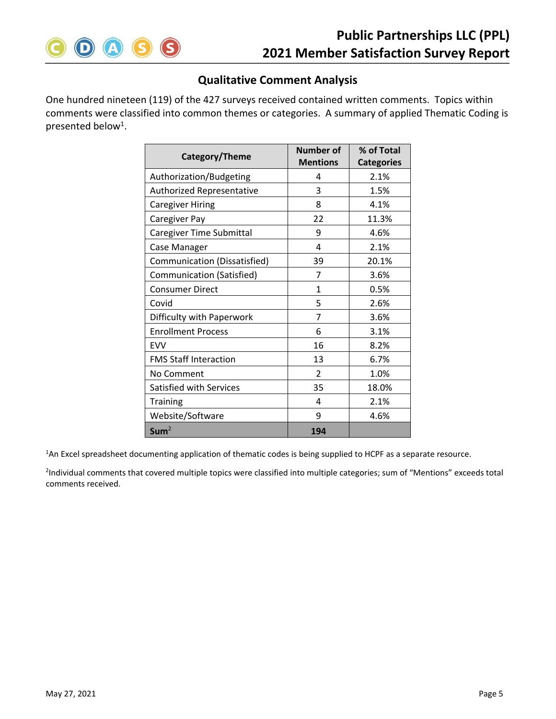

# **Qualitative Comment Analysis**

One hundred nineteen (119) of the 427 surveys received contained written comments. Topics within comments were classified into common themes or categories. A summary of applied Thematic Coding is presented below<sup>1</sup>.

| Category/Theme               | <b>Number of</b> | % of Total        |  |  |
|------------------------------|------------------|-------------------|--|--|
|                              | <b>Mentions</b>  | <b>Categories</b> |  |  |
| Authorization/Budgeting      | 4                | 2.1%              |  |  |
| Authorized Representative    | 3                | 1.5%              |  |  |
| <b>Caregiver Hiring</b>      | 8                | 4.1%              |  |  |
| Caregiver Pay                | 22               | 11.3%             |  |  |
| Caregiver Time Submittal     | 9                | 4.6%              |  |  |
| Case Manager                 | 4                | 2.1%              |  |  |
| Communication (Dissatisfied) | 39               | 20.1%             |  |  |
| Communication (Satisfied)    | 7                | 3.6%              |  |  |
| <b>Consumer Direct</b>       | 1                | 0.5%              |  |  |
| Covid                        | 5                | 2.6%              |  |  |
| Difficulty with Paperwork    | 7                | 3.6%              |  |  |
| <b>Enrollment Process</b>    | 6                | 3.1%              |  |  |
| <b>FVV</b>                   | 16               | 8.2%              |  |  |
| <b>FMS Staff Interaction</b> | 13               | 6.7%              |  |  |
| No Comment                   | $\overline{2}$   | 1.0%              |  |  |
| Satisfied with Services      | 35               | 18.0%             |  |  |
| <b>Training</b>              | 4                | 2.1%              |  |  |
| Website/Software             | 9                | 4.6%              |  |  |
| Sum <sup>2</sup>             | 194              |                   |  |  |

<sup>1</sup>An Excel spreadsheet documenting application of thematic codes is being supplied to HCPF as a separate resource.

<sup>2</sup>Individual comments that covered multiple topics were classified into multiple categories; sum of "Mentions" exceeds total comments received.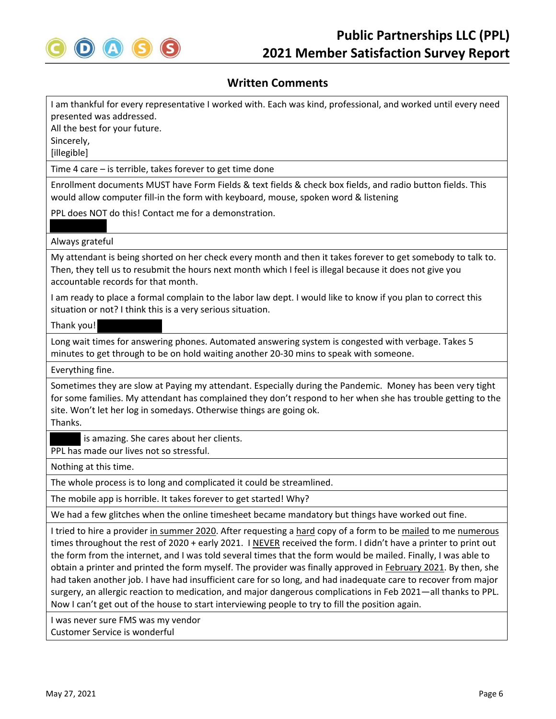

I am thankful for every representative I worked with. Each was kind, professional, and worked until every need presented was addressed.

All the best for your future. Sincerely, [illegible]

Time 4 care – is terrible, takes forever to get time done

Enrollment documents MUST have Form Fields & text fields & check box fields, and radio button fields. This would allow computer fill-in the form with keyboard, mouse, spoken word & listening

PPL does NOT do this! Contact me for a demonstration.

#### Always grateful

My attendant is being shorted on her check every month and then it takes forever to get somebody to talk to. Then, they tell us to resubmit the hours next month which I feel is illegal because it does not give you accountable records for that month.

I am ready to place a formal complain to the labor law dept. I would like to know if you plan to correct this situation or not? I think this is a very serious situation.

Thank you!

Long wait times for answering phones. Automated answering system is congested with verbage. Takes 5 minutes to get through to be on hold waiting another 20‐30 mins to speak with someone.

Everything fine.

Sometimes they are slow at Paying my attendant. Especially during the Pandemic. Money has been very tight for some families. My attendant has complained they don't respond to her when she has trouble getting to the site. Won't let her log in somedays. Otherwise things are going ok. Thanks.

is amazing. She cares about her clients.

PPL has made our lives not so stressful.

Nothing at this time.

The whole process is to long and complicated it could be streamlined.

The mobile app is horrible. It takes forever to get started! Why?

We had a few glitches when the online timesheet became mandatory but things have worked out fine.

I tried to hire a provider in summer 2020. After requesting a hard copy of a form to be mailed to me numerous times throughout the rest of 2020 + early 2021. I NEVER received the form. I didn't have a printer to print out the form from the internet, and I was told several times that the form would be mailed. Finally, I was able to obtain a printer and printed the form myself. The provider was finally approved in February 2021. By then, she had taken another job. I have had insufficient care for so long, and had inadequate care to recover from major surgery, an allergic reaction to medication, and major dangerous complications in Feb 2021—all thanks to PPL. Now I can't get out of the house to start interviewing people to try to fill the position again.

I was never sure FMS was my vendor Customer Service is wonderful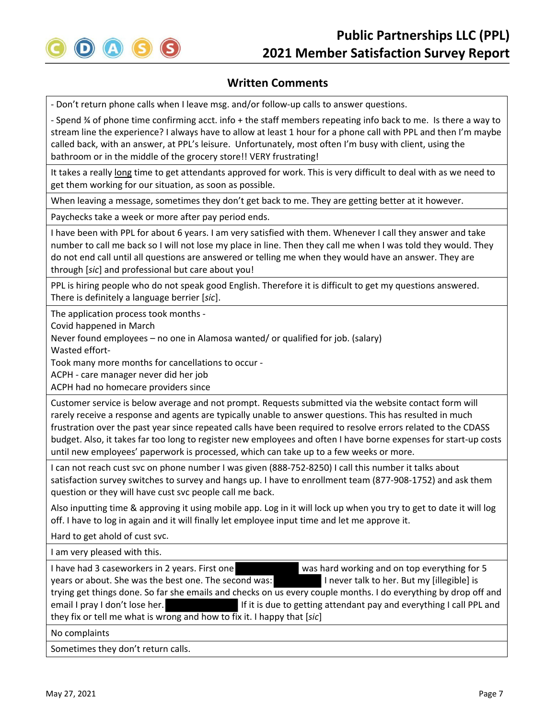

‐ Don't return phone calls when I leave msg. and/or follow‐up calls to answer questions.

‐ Spend ¾ of phone time confirming acct. info + the staff members repeating info back to me. Is there a way to stream line the experience? I always have to allow at least 1 hour for a phone call with PPL and then I'm maybe called back, with an answer, at PPL's leisure. Unfortunately, most often I'm busy with client, using the bathroom or in the middle of the grocery store!! VERY frustrating!

It takes a really long time to get attendants approved for work. This is very difficult to deal with as we need to get them working for our situation, as soon as possible.

When leaving a message, sometimes they don't get back to me. They are getting better at it however.

Paychecks take a week or more after pay period ends.

I have been with PPL for about 6 years. I am very satisfied with them. Whenever I call they answer and take number to call me back so I will not lose my place in line. Then they call me when I was told they would. They do not end call until all questions are answered or telling me when they would have an answer. They are through [*sic*] and professional but care about you!

PPL is hiring people who do not speak good English. Therefore it is difficult to get my questions answered. There is definitely a language berrier [*sic*].

The application process took months ‐

Covid happened in March

Never found employees – no one in Alamosa wanted/ or qualified for job. (salary) Wasted effort‐

Took many more months for cancellations to occur ‐

ACPH ‐ care manager never did her job

ACPH had no homecare providers since

Customer service is below average and not prompt. Requests submitted via the website contact form will rarely receive a response and agents are typically unable to answer questions. This has resulted in much frustration over the past year since repeated calls have been required to resolve errors related to the CDASS budget. Also, it takes far too long to register new employees and often I have borne expenses for start‐up costs until new employees' paperwork is processed, which can take up to a few weeks or more.

I can not reach cust svc on phone number I was given (888‐752‐8250) I call this number it talks about satisfaction survey switches to survey and hangs up. I have to enrollment team (877‐908‐1752) and ask them question or they will have cust svc people call me back.

Also inputting time & approving it using mobile app. Log in it will lock up when you try to get to date it will log off. I have to log in again and it will finally let employee input time and let me approve it.

Hard to get ahold of cust svc.

I am very pleased with this. I have had 3 caseworkers in 2 years. First one was hard working and on top everything for 5 years or about. She was the best one. The second was: I never talk to her. But my [illegible] is trying get things done. So far she emails and checks on us every couple months. I do everything by drop off and email I pray I don't lose her. **If it is due to getting attendant pay and everything I call PPL and** they fix or tell me what is wrong and how to fix it. I happy that [*sic*] No complaints

Sometimes they don't return calls.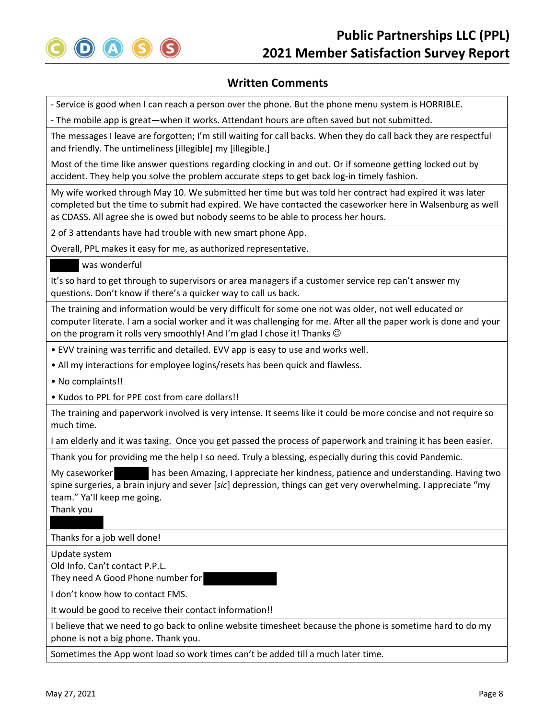

‐ Service is good when I can reach a person over the phone. But the phone menu system is HORRIBLE.

‐ The mobile app is great—when it works. Attendant hours are often saved but not submitted.

The messages I leave are forgotten; I'm still waiting for call backs. When they do call back they are respectful and friendly. The untimeliness [illegible] my [illegible.]

Most of the time like answer questions regarding clocking in and out. Or if someone getting locked out by accident. They help you solve the problem accurate steps to get back log-in timely fashion.

My wife worked through May 10. We submitted her time but was told her contract had expired it was later completed but the time to submit had expired. We have contacted the caseworker here in Walsenburg as well as CDASS. All agree she is owed but nobody seems to be able to process her hours.

2 of 3 attendants have had trouble with new smart phone App.

Overall, PPL makes it easy for me, as authorized representative.

was wonderful

It's so hard to get through to supervisors or area managers if a customer service rep can't answer my questions. Don't know if there's a quicker way to call us back.

The training and information would be very difficult for some one not was older, not well educated or computer literate. I am a social worker and it was challenging for me. After all the paper work is done and your on the program it rolls very smoothly! And I'm glad I chose it! Thanks  $\copyright$ 

- EVV training was terrific and detailed. EVV app is easy to use and works well.
- All my interactions for employee logins/resets has been quick and flawless.
- No complaints!!
- Kudos to PPL for PPE cost from care dollars!!

The training and paperwork involved is very intense. It seems like it could be more concise and not require so much time.

I am elderly and it was taxing. Once you get passed the process of paperwork and training it has been easier.

Thank you for providing me the help I so need. Truly a blessing, especially during this covid Pandemic.

My caseworker has been Amazing, I appreciate her kindness, patience and understanding. Having two spine surgeries, a brain injury and sever [*sic*] depression, things can get very overwhelming. I appreciate "my team." Ya'll keep me going.

Thank you

Thanks for a job well done!

Update system

Old Info. Can't contact P.P.L. They need A Good Phone number for

I don't know how to contact FMS.

It would be good to receive their contact information!!

I believe that we need to go back to online website timesheet because the phone is sometime hard to do my phone is not a big phone. Thank you.

Sometimes the App wont load so work times can't be added till a much later time.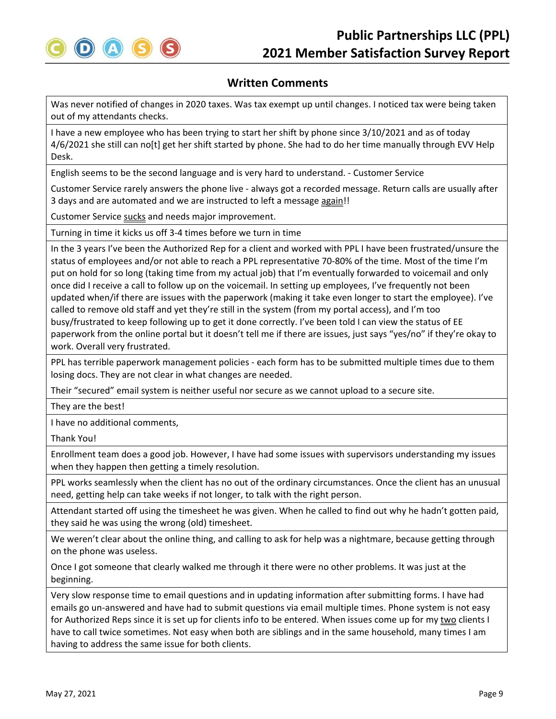

Was never notified of changes in 2020 taxes. Was tax exempt up until changes. I noticed tax were being taken out of my attendants checks.

I have a new employee who has been trying to start her shift by phone since 3/10/2021 and as of today 4/6/2021 she still can no[t] get her shift started by phone. She had to do her time manually through EVV Help Desk.

English seems to be the second language and is very hard to understand. ‐ Customer Service

Customer Service rarely answers the phone live ‐ always got a recorded message. Return calls are usually after 3 days and are automated and we are instructed to left a message again!!

Customer Service sucks and needs major improvement.

Turning in time it kicks us off 3‐4 times before we turn in time

In the 3 years I've been the Authorized Rep for a client and worked with PPL I have been frustrated/unsure the status of employees and/or not able to reach a PPL representative 70‐80% of the time. Most of the time I'm put on hold for so long (taking time from my actual job) that I'm eventually forwarded to voicemail and only once did I receive a call to follow up on the voicemail. In setting up employees, I've frequently not been updated when/if there are issues with the paperwork (making it take even longer to start the employee). I've called to remove old staff and yet they're still in the system (from my portal access), and I'm too busy/frustrated to keep following up to get it done correctly. I've been told I can view the status of EE paperwork from the online portal but it doesn't tell me if there are issues, just says "yes/no" if they're okay to work. Overall very frustrated.

PPL has terrible paperwork management policies ‐ each form has to be submitted multiple times due to them losing docs. They are not clear in what changes are needed.

Their "secured" email system is neither useful nor secure as we cannot upload to a secure site.

They are the best!

I have no additional comments,

Thank You!

Enrollment team does a good job. However, I have had some issues with supervisors understanding my issues when they happen then getting a timely resolution.

PPL works seamlessly when the client has no out of the ordinary circumstances. Once the client has an unusual need, getting help can take weeks if not longer, to talk with the right person.

Attendant started off using the timesheet he was given. When he called to find out why he hadn't gotten paid, they said he was using the wrong (old) timesheet.

We weren't clear about the online thing, and calling to ask for help was a nightmare, because getting through on the phone was useless.

Once I got someone that clearly walked me through it there were no other problems. It was just at the beginning.

Very slow response time to email questions and in updating information after submitting forms. I have had emails go un-answered and have had to submit questions via email multiple times. Phone system is not easy for Authorized Reps since it is set up for clients info to be entered. When issues come up for my two clients I have to call twice sometimes. Not easy when both are siblings and in the same household, many times I am having to address the same issue for both clients.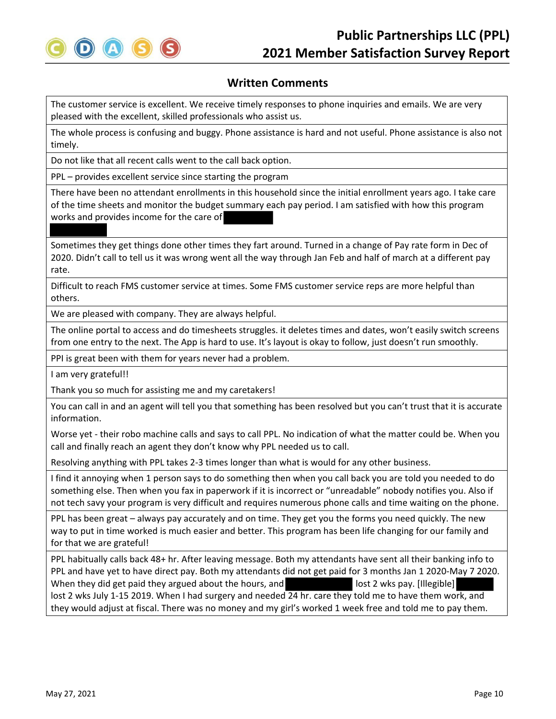

The customer service is excellent. We receive timely responses to phone inquiries and emails. We are very pleased with the excellent, skilled professionals who assist us.

The whole process is confusing and buggy. Phone assistance is hard and not useful. Phone assistance is also not timely.

Do not like that all recent calls went to the call back option.

PPL – provides excellent service since starting the program

There have been no attendant enrollments in this household since the initial enrollment years ago. I take care of the time sheets and monitor the budget summary each pay period. I am satisfied with how this program works and provides income for the care of

Sometimes they get things done other times they fart around. Turned in a change of Pay rate form in Dec of 2020. Didn't call to tell us it was wrong went all the way through Jan Feb and half of march at a different pay rate.

Difficult to reach FMS customer service at times. Some FMS customer service reps are more helpful than others.

We are pleased with company. They are always helpful.

The online portal to access and do timesheets struggles. it deletes times and dates, won't easily switch screens from one entry to the next. The App is hard to use. It's layout is okay to follow, just doesn't run smoothly.

PPI is great been with them for years never had a problem.

I am very grateful!!

Thank you so much for assisting me and my caretakers!

You can call in and an agent will tell you that something has been resolved but you can't trust that it is accurate information.

Worse yet - their robo machine calls and says to call PPL. No indication of what the matter could be. When you call and finally reach an agent they don't know why PPL needed us to call.

Resolving anything with PPL takes 2‐3 times longer than what is would for any other business.

I find it annoying when 1 person says to do something then when you call back you are told you needed to do something else. Then when you fax in paperwork if it is incorrect or "unreadable" nobody notifies you. Also if not tech savy your program is very difficult and requires numerous phone calls and time waiting on the phone.

PPL has been great – always pay accurately and on time. They get you the forms you need quickly. The new way to put in time worked is much easier and better. This program has been life changing for our family and for that we are grateful!

PPL habitually calls back 48+ hr. After leaving message. Both my attendants have sent all their banking info to PPL and have yet to have direct pay. Both my attendants did not get paid for 3 months Jan 1 2020‐May 7 2020. When they did get paid they argued about the hours, and lost 2 wks pay. [Illegible] lost 2 wks July 1‐15 2019. When I had surgery and needed 24 hr. care they told me to have them work, and they would adjust at fiscal. There was no money and my girl's worked 1 week free and told me to pay them.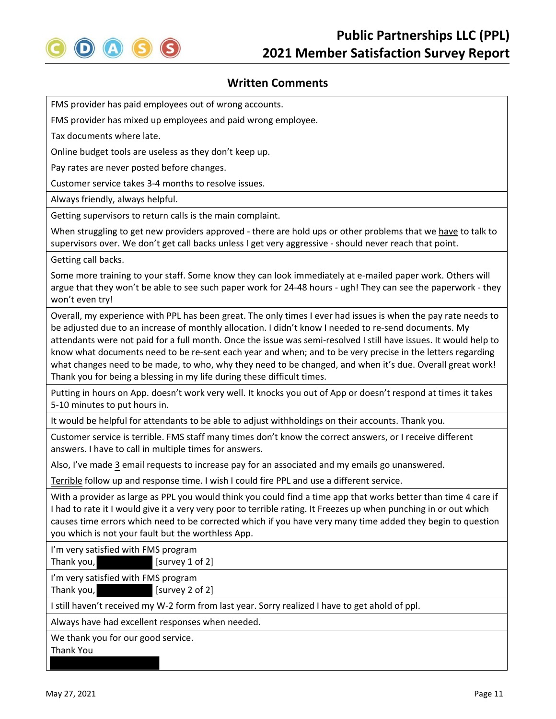

FMS provider has paid employees out of wrong accounts.

FMS provider has mixed up employees and paid wrong employee.

Tax documents where late.

Online budget tools are useless as they don't keep up.

Pay rates are never posted before changes.

Customer service takes 3‐4 months to resolve issues.

Always friendly, always helpful.

Getting supervisors to return calls is the main complaint.

When struggling to get new providers approved - there are hold ups or other problems that we have to talk to supervisors over. We don't get call backs unless I get very aggressive ‐ should never reach that point.

Getting call backs.

Some more training to your staff. Some know they can look immediately at e-mailed paper work. Others will argue that they won't be able to see such paper work for 24‐48 hours ‐ ugh! They can see the paperwork ‐ they won't even try!

Overall, my experience with PPL has been great. The only times I ever had issues is when the pay rate needs to be adjusted due to an increase of monthly allocation. I didn't know I needed to re‐send documents. My attendants were not paid for a full month. Once the issue was semi‐resolved I still have issues. It would help to know what documents need to be re‐sent each year and when; and to be very precise in the letters regarding what changes need to be made, to who, why they need to be changed, and when it's due. Overall great work! Thank you for being a blessing in my life during these difficult times.

Putting in hours on App. doesn't work very well. It knocks you out of App or doesn't respond at times it takes 5‐10 minutes to put hours in.

It would be helpful for attendants to be able to adjust withholdings on their accounts. Thank you.

Customer service is terrible. FMS staff many times don't know the correct answers, or I receive different answers. I have to call in multiple times for answers.

Also, I've made 3 email requests to increase pay for an associated and my emails go unanswered.

Terrible follow up and response time. I wish I could fire PPL and use a different service.

With a provider as large as PPL you would think you could find a time app that works better than time 4 care if I had to rate it I would give it a very very poor to terrible rating. It Freezes up when punching in or out which causes time errors which need to be corrected which if you have very many time added they begin to question you which is not your fault but the worthless App.

I'm very satisfied with FMS program

Thank you, **consumed as [Survey 1 of 2]** 

I'm very satisfied with FMS program

Thank you, **[Survey 2 of 2]** 

I still haven't received my W‐2 form from last year. Sorry realized I have to get ahold of ppl.

Always have had excellent responses when needed.

We thank you for our good service.

Thank You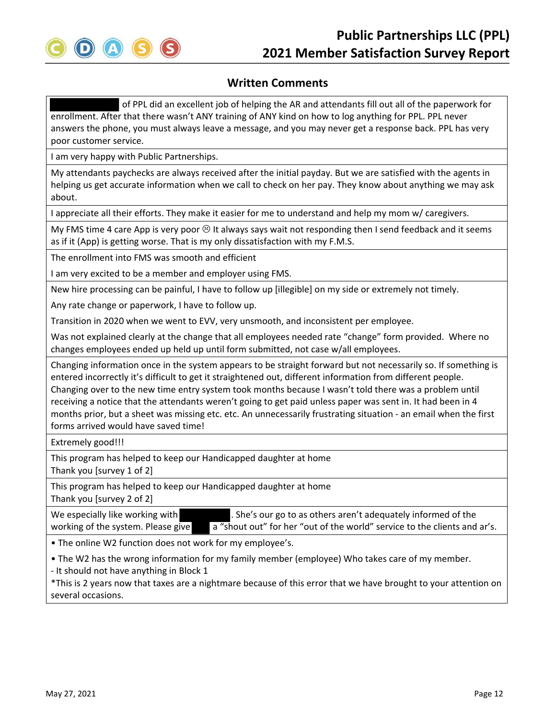

of PPL did an excellent job of helping the AR and attendants fill out all of the paperwork for enrollment. After that there wasn't ANY training of ANY kind on how to log anything for PPL. PPL never answers the phone, you must always leave a message, and you may never get a response back. PPL has very poor customer service.

I am very happy with Public Partnerships.

My attendants paychecks are always received after the initial payday. But we are satisfied with the agents in helping us get accurate information when we call to check on her pay. They know about anything we may ask about.

I appreciate all their efforts. They make it easier for me to understand and help my mom w/ caregivers.

My FMS time 4 care App is very poor  $\otimes$  It always says wait not responding then I send feedback and it seems as if it (App) is getting worse. That is my only dissatisfaction with my F.M.S.

The enrollment into FMS was smooth and efficient

I am very excited to be a member and employer using FMS.

New hire processing can be painful, I have to follow up [illegible] on my side or extremely not timely.

Any rate change or paperwork, I have to follow up.

Transition in 2020 when we went to EVV, very unsmooth, and inconsistent per employee.

Was not explained clearly at the change that all employees needed rate "change" form provided. Where no changes employees ended up held up until form submitted, not case w/all employees.

Changing information once in the system appears to be straight forward but not necessarily so. If something is entered incorrectly it's difficult to get it straightened out, different information from different people. Changing over to the new time entry system took months because I wasn't told there was a problem until receiving a notice that the attendants weren't going to get paid unless paper was sent in. It had been in 4 months prior, but a sheet was missing etc. etc. An unnecessarily frustrating situation ‐ an email when the first forms arrived would have saved time!

Extremely good!!!

This program has helped to keep our Handicapped daughter at home Thank you [survey 1 of 2]

This program has helped to keep our Handicapped daughter at home Thank you [survey 2 of 2]

We especially like working with . She's our go to as others aren't adequately informed of the working of the system. Please give a "shout out" for her "out of the world" service to the clients and ar's.

• The online W2 function does not work for my employee's.

• The W2 has the wrong information for my family member (employee) Who takes care of my member.

‐ It should not have anything in Block 1

\*This is 2 years now that taxes are a nightmare because of this error that we have brought to your attention on several occasions.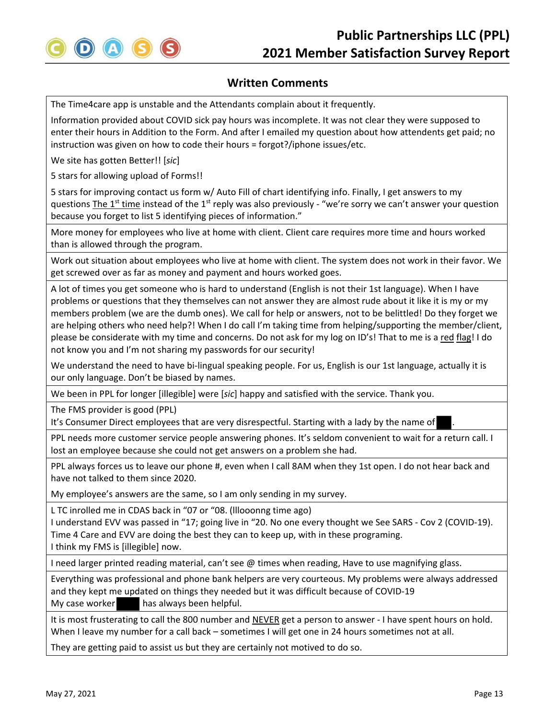

The Time4care app is unstable and the Attendants complain about it frequently.

Information provided about COVID sick pay hours was incomplete. It was not clear they were supposed to enter their hours in Addition to the Form. And after I emailed my question about how attendents get paid; no instruction was given on how to code their hours = forgot?/iphone issues/etc.

We site has gotten Better!! [*sic*]

5 stars for allowing upload of Forms!!

5 stars for improving contact us form w/ Auto Fill of chart identifying info. Finally, I get answers to my questions The 1<sup>st</sup> time instead of the 1<sup>st</sup> reply was also previously - "we're sorry we can't answer your question because you forget to list 5 identifying pieces of information."

More money for employees who live at home with client. Client care requires more time and hours worked than is allowed through the program.

Work out situation about employees who live at home with client. The system does not work in their favor. We get screwed over as far as money and payment and hours worked goes.

A lot of times you get someone who is hard to understand (English is not their 1st language). When I have problems or questions that they themselves can not answer they are almost rude about it like it is my or my members problem (we are the dumb ones). We call for help or answers, not to be belittled! Do they forget we are helping others who need help?! When I do call I'm taking time from helping/supporting the member/client, please be considerate with my time and concerns. Do not ask for my log on ID's! That to me is a red flag! I do not know you and I'm not sharing my passwords for our security!

We understand the need to have bi-lingual speaking people. For us, English is our 1st language, actually it is our only language. Don't be biased by names.

We been in PPL for longer [illegible] were [*sic*] happy and satisfied with the service. Thank you.

The FMS provider is good (PPL)

It's Consumer Direct employees that are very disrespectful. Starting with a lady by the name of

PPL needs more customer service people answering phones. It's seldom convenient to wait for a return call. I lost an employee because she could not get answers on a problem she had.

PPL always forces us to leave our phone #, even when I call 8AM when they 1st open. I do not hear back and have not talked to them since 2020.

My employee's answers are the same, so I am only sending in my survey.

L TC inrolled me in CDAS back in "07 or "08. (lllooonng time ago)

I understand EVV was passed in "17; going live in "20. No one every thought we See SARS ‐ Cov 2 (COVID‐19). Time 4 Care and EVV are doing the best they can to keep up, with in these programing. I think my FMS is [illegible] now.

I need larger printed reading material, can't see @ times when reading, Have to use magnifying glass.

Everything was professional and phone bank helpers are very courteous. My problems were always addressed and they kept me updated on things they needed but it was difficult because of COVID‐19 My case worker **has always been helpful.** 

It is most frusterating to call the 800 number and NEVER get a person to answer ‐ I have spent hours on hold. When I leave my number for a call back – sometimes I will get one in 24 hours sometimes not at all.

They are getting paid to assist us but they are certainly not motived to do so.